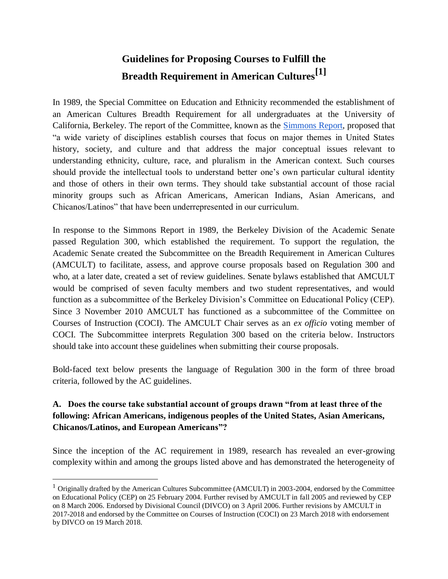# **Guidelines for Proposing Courses to Fulfill the Breadth Requirement in American Cultures[1]**

In 1989, the Special Committee on Education and Ethnicity recommended the establishment of an American Cultures Breadth Requirement for all undergraduates at the University of California, Berkeley. The report of the Committee, known as the [Simmons Report,](https://academic-senate.berkeley.edu/sites/default/files/simmonsrpt_1989.pdf) proposed that "a wide variety of disciplines establish courses that focus on major themes in United States history, society, and culture and that address the major conceptual issues relevant to understanding ethnicity, culture, race, and pluralism in the American context. Such courses should provide the intellectual tools to understand better one's own particular cultural identity and those of others in their own terms. They should take substantial account of those racial minority groups such as African Americans, American Indians, Asian Americans, and Chicanos/Latinos" that have been underrepresented in our curriculum.

In response to the Simmons Report in 1989, the Berkeley Division of the Academic Senate passed Regulation 300, which established the requirement. To support the regulation, the Academic Senate created the Subcommittee on the Breadth Requirement in American Cultures (AMCULT) to facilitate, assess, and approve course proposals based on Regulation 300 and who, at a later date, created a set of review guidelines. Senate bylaws established that AMCULT would be comprised of seven faculty members and two student representatives, and would function as a subcommittee of the Berkeley Division's Committee on Educational Policy (CEP). Since 3 November 2010 AMCULT has functioned as a subcommittee of the Committee on Courses of Instruction (COCI). The AMCULT Chair serves as an *ex officio* voting member of COCI. The Subcommittee interprets Regulation 300 based on the criteria below. Instructors should take into account these guidelines when submitting their course proposals.

Bold-faced text below presents the language of Regulation 300 in the form of three broad criteria, followed by the AC guidelines.

# **A. Does the course take substantial account of groups drawn "from at least three of the following: African Americans, indigenous peoples of the United States, Asian Americans, Chicanos/Latinos, and European Americans"?**

Since the inception of the AC requirement in 1989, research has revealed an ever-growing complexity within and among the groups listed above and has demonstrated the heterogeneity of

<sup>&</sup>lt;sup>1</sup> Originally drafted by the American Cultures Subcommittee (AMCULT) in 2003-2004, endorsed by the Committee on Educational Policy (CEP) on 25 February 2004. Further revised by AMCULT in fall 2005 and reviewed by CEP on 8 March 2006. Endorsed by Divisional Council (DIVCO) on 3 April 2006. Further revisions by AMCULT in 2017-2018 and endorsed by the Committee on Courses of Instruction (COCI) on 23 March 2018 with endorsement by DIVCO on 19 March 2018.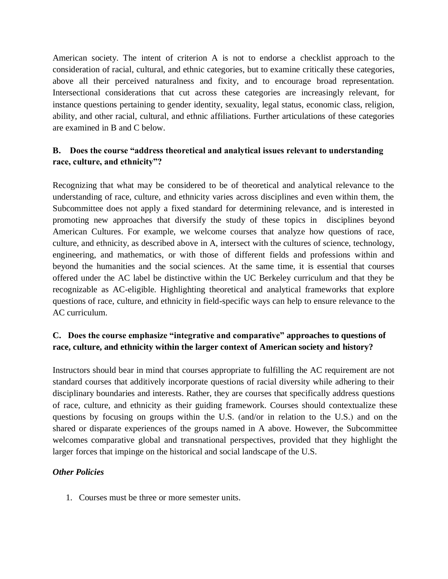American society. The intent of criterion A is not to endorse a checklist approach to the consideration of racial, cultural, and ethnic categories, but to examine critically these categories, above all their perceived naturalness and fixity, and to encourage broad representation. Intersectional considerations that cut across these categories are increasingly relevant, for instance questions pertaining to gender identity, sexuality, legal status, economic class, religion, ability, and other racial, cultural, and ethnic affiliations. Further articulations of these categories are examined in B and C below.

# **B. Does the course "address theoretical and analytical issues relevant to understanding race, culture, and ethnicity"?**

Recognizing that what may be considered to be of theoretical and analytical relevance to the understanding of race, culture, and ethnicity varies across disciplines and even within them, the Subcommittee does not apply a fixed standard for determining relevance, and is interested in promoting new approaches that diversify the study of these topics in disciplines beyond American Cultures. For example, we welcome courses that analyze how questions of race, culture, and ethnicity, as described above in A, intersect with the cultures of science, technology, engineering, and mathematics, or with those of different fields and professions within and beyond the humanities and the social sciences. At the same time, it is essential that courses offered under the AC label be distinctive within the UC Berkeley curriculum and that they be recognizable as AC-eligible. Highlighting theoretical and analytical frameworks that explore questions of race, culture, and ethnicity in field-specific ways can help to ensure relevance to the AC curriculum.

### **C. Does the course emphasize "integrative and comparative" approaches to questions of race, culture, and ethnicity within the larger context of American society and history?**

Instructors should bear in mind that courses appropriate to fulfilling the AC requirement are not standard courses that additively incorporate questions of racial diversity while adhering to their disciplinary boundaries and interests. Rather, they are courses that specifically address questions of race, culture, and ethnicity as their guiding framework. Courses should contextualize these questions by focusing on groups within the U.S. (and/or in relation to the U.S.) and on the shared or disparate experiences of the groups named in A above. However, the Subcommittee welcomes comparative global and transnational perspectives, provided that they highlight the larger forces that impinge on the historical and social landscape of the U.S.

#### *Other Policies*

1. Courses must be three or more semester units.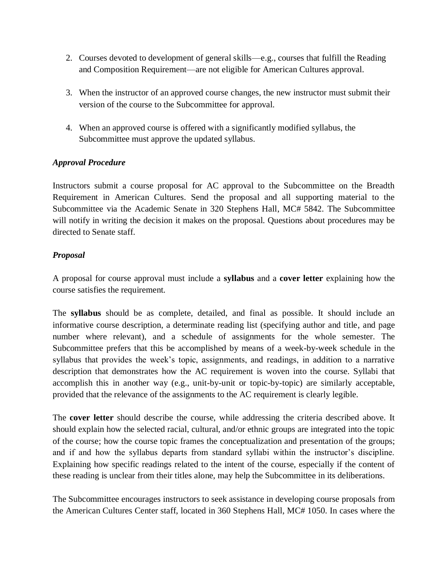- 2. Courses devoted to development of general skills—e.g., courses that fulfill the Reading and Composition Requirement—are not eligible for American Cultures approval.
- 3. When the instructor of an approved course changes, the new instructor must submit their version of the course to the Subcommittee for approval.
- 4. When an approved course is offered with a significantly modified syllabus, the Subcommittee must approve the updated syllabus.

#### *Approval Procedure*

Instructors submit a course proposal for AC approval to the Subcommittee on the Breadth Requirement in American Cultures. Send the proposal and all supporting material to the Subcommittee via the Academic Senate in 320 Stephens Hall, MC# 5842. The Subcommittee will notify in writing the decision it makes on the proposal. Questions about procedures may be directed to Senate staff.

#### *Proposal*

A proposal for course approval must include a **syllabus** and a **cover letter** explaining how the course satisfies the requirement.

The **syllabus** should be as complete, detailed, and final as possible. It should include an informative course description, a determinate reading list (specifying author and title, and page number where relevant), and a schedule of assignments for the whole semester. The Subcommittee prefers that this be accomplished by means of a week-by-week schedule in the syllabus that provides the week's topic, assignments, and readings, in addition to a narrative description that demonstrates how the AC requirement is woven into the course. Syllabi that accomplish this in another way (e.g., unit-by-unit or topic-by-topic) are similarly acceptable, provided that the relevance of the assignments to the AC requirement is clearly legible.

The **cover letter** should describe the course, while addressing the criteria described above. It should explain how the selected racial, cultural, and/or ethnic groups are integrated into the topic of the course; how the course topic frames the conceptualization and presentation of the groups; and if and how the syllabus departs from standard syllabi within the instructor's discipline. Explaining how specific readings related to the intent of the course, especially if the content of these reading is unclear from their titles alone, may help the Subcommittee in its deliberations.

The Subcommittee encourages instructors to seek assistance in developing course proposals from the American Cultures Center staff, located in 360 Stephens Hall, MC# 1050. In cases where the